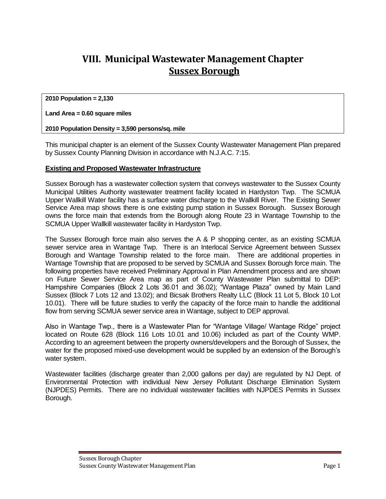## **VIII. Municipal Wastewater Management Chapter Sussex Borough**

**2010 Population = 2,130**

### **Land Area = 0.60 square miles**

### **2010 Population Density = 3,590 persons/sq. mile**

This municipal chapter is an element of the Sussex County Wastewater Management Plan prepared by Sussex County Planning Division in accordance with N.J.A.C. 7:15.

### **Existing and Proposed Wastewater Infrastructure**

Sussex Borough has a wastewater collection system that conveys wastewater to the Sussex County Municipal Utilities Authority wastewater treatment facility located in Hardyston Twp. The SCMUA Upper Wallkill Water facility has a surface water discharge to the Wallkill River. The Existing Sewer Service Area map shows there is one existing pump station in Sussex Borough. Sussex Borough owns the force main that extends from the Borough along Route 23 in Wantage Township to the SCMUA Upper Wallkill wastewater facility in Hardyston Twp.

The Sussex Borough force main also serves the A & P shopping center, as an existing SCMUA sewer service area in Wantage Twp. There is an Interlocal Service Agreement between Sussex Borough and Wantage Township related to the force main. There are additional properties in Wantage Township that are proposed to be served by SCMUA and Sussex Borough force main. The following properties have received Preliminary Approval in Plan Amendment process and are shown on Future Sewer Service Area map as part of County Wastewater Plan submittal to DEP: Hampshire Companies (Block 2 Lots 36.01 and 36.02); "Wantage Plaza" owned by Main Land Sussex (Block 7 Lots 12 and 13.02); and Bicsak Brothers Realty LLC (Block 11 Lot 5, Block 10 Lot 10.01). There will be future studies to verify the capacity of the force main to handle the additional flow from serving SCMUA sewer service area in Wantage, subject to DEP approval.

Also in Wantage Twp., there is a Wastewater Plan for "Wantage Village/ Wantage Ridge" project located on Route 628 (Block 116 Lots 10.01 and 10.06) included as part of the County WMP. According to an agreement between the property owners/developers and the Borough of Sussex, the water for the proposed mixed-use development would be supplied by an extension of the Borough's water system.

Wastewater facilities (discharge greater than 2,000 gallons per day) are regulated by NJ Dept. of Environmental Protection with individual New Jersey Pollutant Discharge Elimination System (NJPDES) Permits. There are no individual wastewater facilities with NJPDES Permits in Sussex Borough.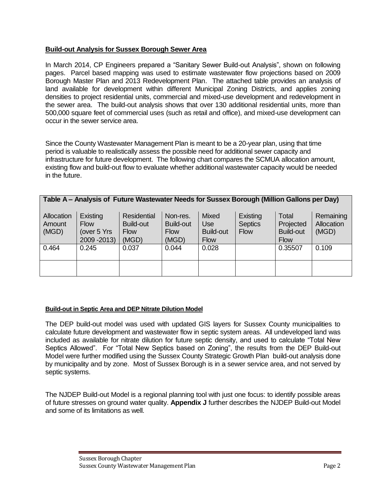### **Build-out Analysis for Sussex Borough Sewer Area**

In March 2014, CP Engineers prepared a "Sanitary Sewer Build-out Analysis", shown on following pages. Parcel based mapping was used to estimate wastewater flow projections based on 2009 Borough Master Plan and 2013 Redevelopment Plan. The attached table provides an analysis of land available for development within different Municipal Zoning Districts, and applies zoning densities to project residential units, commercial and mixed-use development and redevelopment in the sewer area. The build-out analysis shows that over 130 additional residential units, more than 500,000 square feet of commercial uses (such as retail and office), and mixed-use development can occur in the sewer service area.

Since the County Wastewater Management Plan is meant to be a 20-year plan, using that time period is valuable to realistically assess the possible need for additional sewer capacity and infrastructure for future development. The following chart compares the SCMUA allocation amount, existing flow and build-out flow to evaluate whether additional wastewater capacity would be needed in the future.

|  |  | Table A - Analysis of Future Wastewater Needs for Sussex Borough (Million Gallons per Day) |
|--|--|--------------------------------------------------------------------------------------------|
|  |  |                                                                                            |

| Allocation<br>Amount<br>(MGD) | Existing<br><b>Flow</b><br>(over 5 Yrs<br>2009 - 2013) | Residential<br><b>Build-out</b><br><b>Flow</b><br>(MGD) | Non-res.<br>Build-out<br><b>Flow</b><br>(MGD) | <b>Mixed</b><br>Use<br><b>Build-out</b><br><b>Flow</b> | Existing<br><b>Septics</b><br><b>Flow</b> | Total<br>Projected<br><b>Build-out</b><br><b>Flow</b> | Remaining<br>Allocation<br>(MGD) |
|-------------------------------|--------------------------------------------------------|---------------------------------------------------------|-----------------------------------------------|--------------------------------------------------------|-------------------------------------------|-------------------------------------------------------|----------------------------------|
| 0.464                         | 0.245                                                  | 0.037                                                   | 0.044                                         | 0.028                                                  |                                           | 0.35507                                               | 0.109                            |
|                               |                                                        |                                                         |                                               |                                                        |                                           |                                                       |                                  |

### **Build-out in Septic Area and DEP Nitrate Dilution Model**

The DEP build-out model was used with updated GIS layers for Sussex County municipalities to calculate future development and wastewater flow in septic system areas. All undeveloped land was included as available for nitrate dilution for future septic density, and used to calculate "Total New Septics Allowed". For "Total New Septics based on Zoning", the results from the DEP Build-out Model were further modified using the Sussex County Strategic Growth Plan build-out analysis done by municipality and by zone. Most of Sussex Borough is in a sewer service area, and not served by septic systems.

The NJDEP Build-out Model is a regional planning tool with just one focus: to identify possible areas of future stresses on ground water quality. **Appendix J** further describes the NJDEP Build-out Model and some of its limitations as well.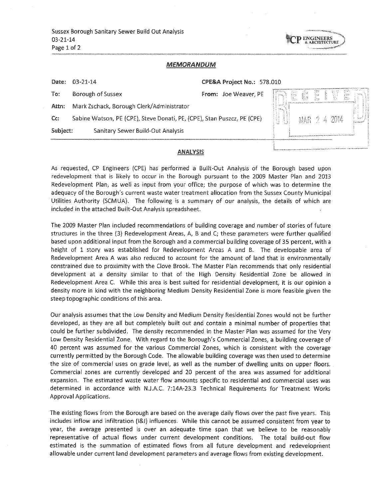Sussex Borough Sanitary Sewer Build Out Analysis  $03 - 21 - 14$ Page 1 of 2



### **MEMORANDUM**

| Date:    | 03-21-14                                                                | CPE&A Project No.: 578.010 |                                         |      |              |    |
|----------|-------------------------------------------------------------------------|----------------------------|-----------------------------------------|------|--------------|----|
| To:      | Borough of Sussex                                                       | From: Joe Weaver, PE       | $\left\lfloor \frac{m}{m}\right\rfloor$ | f f. | 量十以          | 수도 |
| Attn:    | Mark Zschack, Borough Clerk/Administrator                               |                            | <b>Spring</b>                           |      |              |    |
| Cc:      | Sabine Watson, PE (CPE), Steve Donati, PE, (CPE), Stan Puszcz, PE (CPE) |                            |                                         |      | MAR 2 4 2014 | 事長 |
| Subject: | Sanitary Sewer Build-Out Analysis                                       |                            |                                         |      |              |    |
|          |                                                                         |                            |                                         |      |              |    |

### **ANALYSIS**

As requested, CP Engineers (CPE) has performed a Built-Out Analysis of the Borough based upon redevelopment that is likely to occur in the Borough pursuant to the 2009 Master Plan and 2013 Redevelopment Plan, as well as input from your office; the purpose of which was to determine the adequacy of the Borough's current waste water treatment allocation from the Sussex County Municipal Utilities Authority (SCMUA). The following is a summary of our analysis, the details of which are included in the attached Built-Out Analysis spreadsheet.

The 2009 Master Plan included recommendations of building coverage and number of stories of future structures in the three (3) Redevelopment Areas, A, B and C; these parameters were further qualified based upon additional input from the Borough and a commercial building coverage of 35 percent, with a height of 1 story was established for Redevelopment Areas A and B. The developable area of Redevelopment Area A was also reduced to account for the amount of land that is environmentally constrained due to proximity with the Clove Brook. The Master Plan recommends that only residential development at a density similar to that of the High Density Residential Zone be allowed in Redevelopment Area C. While this area is best suited for residential development, it is our opinion a density more in kind with the neighboring Medium Density Residential Zone is more feasible given the steep topographic conditions of this area.

Our analysis assumes that the Low Density and Medium Density Residential Zones would not be further developed, as they are all but completely built out and contain a minimal number of properties that could be further subdivided. The density recommended in the Master Plan was assumed for the Very Low Density Residential Zone. With regard to the Borough's Commercial Zones, a building coverage of 40 percent was assumed for the various Commercial Zones, which is consistent with the coverage currently permitted by the Borough Code. The allowable building coverage was then used to determine the size of commercial uses on grade level, as well as the number of dwelling units on upper floors. Commercial zones are currently developed and 20 percent of the area was assumed for additional expansion. The estimated waste water flow amounts specific to residential and commercial uses was determined in accordance with N.J.A.C. 7:14A-23.3 Technical Requirements for Treatment Works Approval Applications.

The existing flows from the Borough are based on the average daily flows over the past five years. This includes inflow and infiltration (I&I) influences. While this cannot be assumed consistent from year to year, the average presented is over an adequate time span that we believe to be reasonably representative of actual flows under current development conditions. The total build-out flow estimated is the summation of estimated flows from all future development and redevelopment allowable under current land development parameters and average flows from existing development.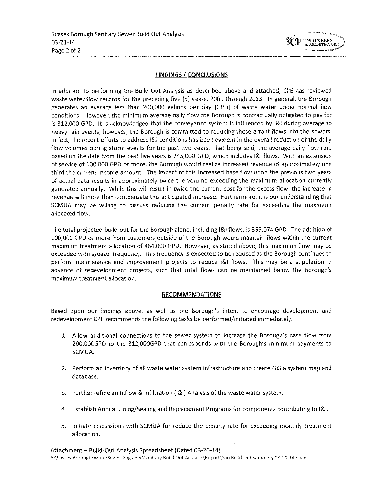

### **FINDINGS / CONCLUSIONS**

In addition to performing the Build-Out Analysis as described above and attached, CPE has reviewed waste water flow records for the preceding five (5) years, 2009 through 2013. In general, the Borough generates an average less than 200,000 gallons per day (GPD) of waste water under normal flow conditions. However, the minimum average daily flow the Borough is contractually obligated to pay for is 312,000 GPD. It is acknowledged that the conveyance system is influenced by I&I during average to heavy rain events, however, the Borough is committed to reducing these errant flows into the sewers. In fact, the recent efforts to address [&] conditions has been evident in the overall reduction of the daily flow volumes during storm events for the past two years. That being said, the average daily flow rate based on the data from the past five years is 245,000 GPD, which includes I&I flows. With an extension of service of 100,000 GPD or more, the Borough would realize increased revenue of approximately one third the current income amount. The impact of this increased base flow upon the previous two years of actual data results in approximately twice the volume exceeding the maximum allocation currently generated annually. While this will result in twice the current cost for the excess flow, the increase in revenue will more than compensate this anticipated increase. Furthermore, it is our understanding that SCMUA may be willing to discuss reducing the current penalty rate for exceeding the maximum allocated flow.

The total projected build-out for the Borough alone, including I&I flows, is 355,074 GPD. The addition of 100,000 GPD or more from customers outside of the Borough would maintain flows within the current maximum treatment allocation of 464,000 GPD. However, as stated above, this maximum flow may be exceeded with greater frequency. This frequency is expected to be reduced as the Borough continues to perform maintenance and improvement projects to reduce I&I flows. This may be a stipulation in advance of redevelopment projects, such that total flows can be maintained below the Borough's maximum treatment allocation.

### **RECOMMENDATIONS**

Based upon our findings above, as well as the Borough's intent to encourage development and redevelopment CPE recommends the following tasks be performed/initiated immediately.

- 1. Allow additional connections to the sewer system to increase the Borough's base flow from 200,000GPD to the 312,000GPD that corresponds with the Borough's minimum payments to SCMUA.
- 2. Perform an inventory of all waste water system infrastructure and create GIS a system map and database.
- 3. Further refine an Inflow & Infiltration (I&I) Analysis of the waste water system.
- 4. Establish Annual Lining/Sealing and Replacement Programs for components contributing to I&I.
- 5. Initiate discussions with SCMUA for reduce the penalty rate for exceeding monthly treatment allocation.

Attachment - Build-Out Analysis Spreadsheet (Dated 03-20-14) P:\Sussex Borough\WaterSewer Engineer\Sanitary Build Out Analysis\Report\San Build Out Summary 03-21-14.docx